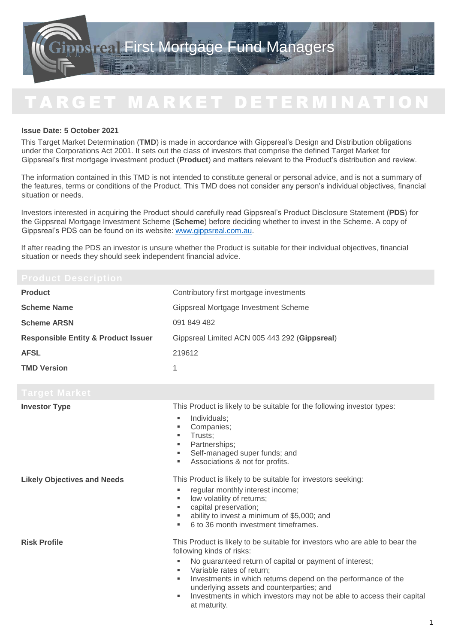# T A R G E T M A R K E T D E T E R M I N A T I O N

## **Issue Date: 5 October 2021**

This Target Market Determination (**TMD**) is made in accordance with Gippsreal's Design and Distribution obligations under the Corporations Act 2001. It sets out the class of investors that comprise the defined Target Market for Gippsreal's first mortgage investment product (**Product**) and matters relevant to the Product's distribution and review.

The information contained in this TMD is not intended to constitute general or personal advice, and is not a summary of the features, terms or conditions of the Product. This TMD does not consider any person's individual objectives, financial situation or needs.

Investors interested in acquiring the Product should carefully read Gippsreal's Product Disclosure Statement (**PDS**) for the Gippsreal Mortgage Investment Scheme (**Scheme**) before deciding whether to invest in the Scheme. A copy of Gippsreal's PDS can be found on its website: [www.gippsreal.com.au.](http://www.gippsreal.com.au/)

If after reading the PDS an investor is unsure whether the Product is suitable for their individual objectives, financial situation or needs they should seek independent financial advice.

| <b>Product</b>                                 | Contributory first mortgage investments                                                                                                                                                                                                                                                                                                                                                                                  |  |
|------------------------------------------------|--------------------------------------------------------------------------------------------------------------------------------------------------------------------------------------------------------------------------------------------------------------------------------------------------------------------------------------------------------------------------------------------------------------------------|--|
| <b>Scheme Name</b>                             | Gippsreal Mortgage Investment Scheme                                                                                                                                                                                                                                                                                                                                                                                     |  |
| <b>Scheme ARSN</b>                             | 091 849 482                                                                                                                                                                                                                                                                                                                                                                                                              |  |
| <b>Responsible Entity &amp; Product Issuer</b> | Gippsreal Limited ACN 005 443 292 (Gippsreal)                                                                                                                                                                                                                                                                                                                                                                            |  |
| <b>AFSL</b>                                    | 219612                                                                                                                                                                                                                                                                                                                                                                                                                   |  |
| <b>TMD Version</b>                             | 1                                                                                                                                                                                                                                                                                                                                                                                                                        |  |
| Target Market                                  |                                                                                                                                                                                                                                                                                                                                                                                                                          |  |
| <b>Investor Type</b>                           | This Product is likely to be suitable for the following investor types:<br>Individuals;<br>٠<br>Companies;<br>٠<br>Trusts;<br>٠<br>Partnerships;<br>٠<br>Self-managed super funds; and<br>Associations & not for profits.                                                                                                                                                                                                |  |
| <b>Likely Objectives and Needs</b>             | This Product is likely to be suitable for investors seeking:<br>regular monthly interest income;<br>low volatility of returns;<br>٠<br>capital preservation;<br>ability to invest a minimum of \$5,000; and<br>6 to 36 month investment timeframes.                                                                                                                                                                      |  |
| <b>Risk Profile</b>                            | This Product is likely to be suitable for investors who are able to bear the<br>following kinds of risks:<br>No guaranteed return of capital or payment of interest;<br>Variable rates of return;<br>ш<br>Investments in which returns depend on the performance of the<br>٠<br>underlying assets and counterparties; and<br>Investments in which investors may not be able to access their capital<br>٠<br>at maturity. |  |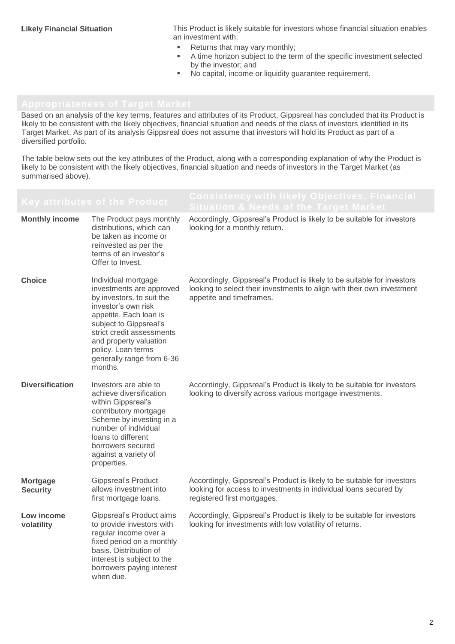**Likely Financial Situation** This Product is likely suitable for investors whose financial situation enables an investment with:

- Returns that may vary monthly;<br>A time horizon subject to the term
- A time horizon subject to the term of the specific investment selected by the investor; and
- No capital, income or liquidity guarantee requirement.

Based on an analysis of the key terms, features and attributes of its Product, Gippsreal has concluded that its Product is likely to be consistent with the likely objectives, financial situation and needs of the class of investors identified in its Target Market. As part of its analysis Gippsreal does not assume that investors will hold its Product as part of a diversified portfolio.

The table below sets out the key attributes of the Product, along with a corresponding explanation of why the Product is likely to be consistent with the likely objectives, financial situation and needs of investors in the Target Market (as summarised above).

|                                    | Key attributes of the Product                                                                                                                                                                                                                                                | <b>Situation &amp; Needs of the Target Market</b>                                                                                                                             |
|------------------------------------|------------------------------------------------------------------------------------------------------------------------------------------------------------------------------------------------------------------------------------------------------------------------------|-------------------------------------------------------------------------------------------------------------------------------------------------------------------------------|
| <b>Monthly income</b>              | The Product pays monthly<br>distributions, which can<br>be taken as income or<br>reinvested as per the<br>terms of an investor's<br>Offer to Invest.                                                                                                                         | Accordingly, Gippsreal's Product is likely to be suitable for investors<br>looking for a monthly return.                                                                      |
| <b>Choice</b>                      | Individual mortgage<br>investments are approved<br>by investors, to suit the<br>investor's own risk<br>appetite. Each loan is<br>subject to Gippsreal's<br>strict credit assessments<br>and property valuation<br>policy. Loan terms<br>generally range from 6-36<br>months. | Accordingly, Gippsreal's Product is likely to be suitable for investors<br>looking to select their investments to align with their own investment<br>appetite and timeframes. |
| <b>Diversification</b>             | Investors are able to<br>achieve diversification<br>within Gippsreal's<br>contributory mortgage<br>Scheme by investing in a<br>number of individual<br>loans to different<br>borrowers secured<br>against a variety of<br>properties.                                        | Accordingly, Gippsreal's Product is likely to be suitable for investors<br>looking to diversify across various mortgage investments.                                          |
| <b>Mortgage</b><br><b>Security</b> | <b>Gippsreal's Product</b><br>allows investment into<br>first mortgage loans.                                                                                                                                                                                                | Accordingly, Gippsreal's Product is likely to be suitable for investors<br>looking for access to investments in individual loans secured by<br>registered first mortgages.    |
| Low income<br>volatility           | Gippsreal's Product aims<br>to provide investors with<br>regular income over a<br>fixed period on a monthly<br>basis. Distribution of<br>interest is subject to the<br>borrowers paying interest<br>when due.                                                                | Accordingly, Gippsreal's Product is likely to be suitable for investors<br>looking for investments with low volatility of returns.                                            |